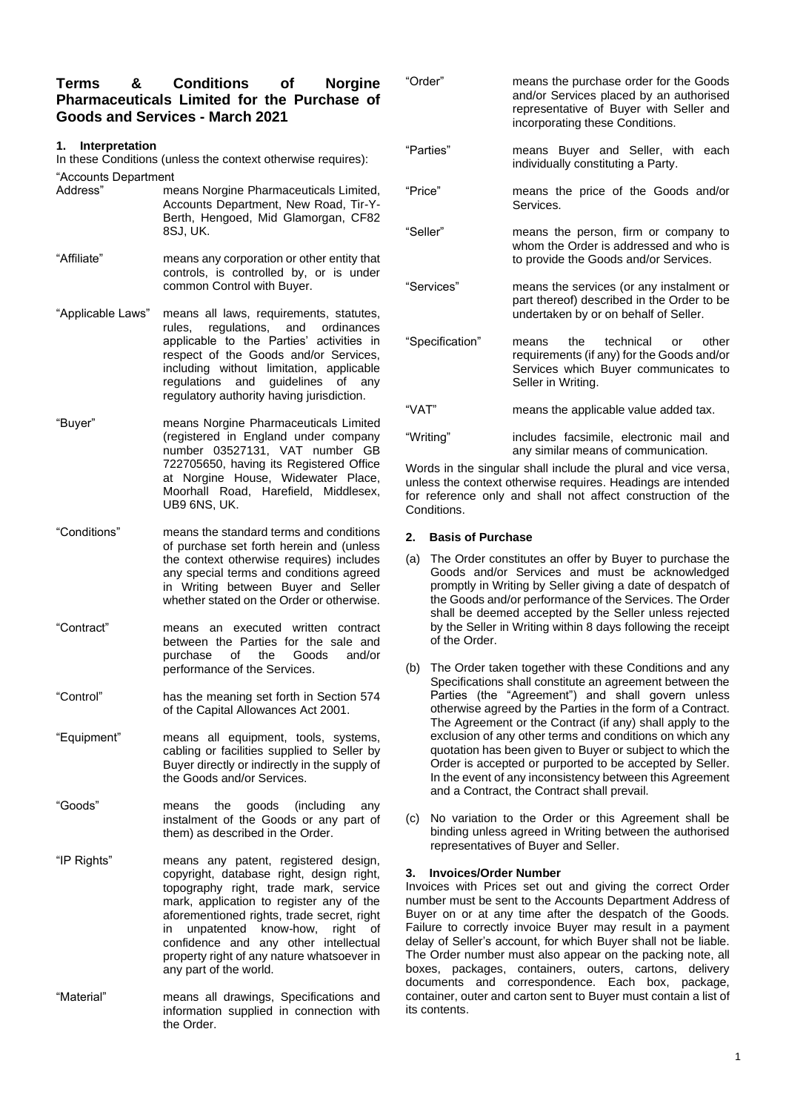# **Terms & Conditions of Norgine Pharmaceuticals Limited for the Purchase of Goods and Services - March 2021**

## **1. Interpretation**

In these Conditions (unless the context otherwise requires): "Accounts Department

- Address" means Norgine Pharmaceuticals Limited, Accounts Department, New Road, Tir-Y-Berth, Hengoed, Mid Glamorgan, CF82 8SJ, UK.
- "Affiliate" means any corporation or other entity that controls, is controlled by, or is under common Control with Buyer.
- "Applicable Laws" means all laws, requirements, statutes, rules, regulations, and ordinances applicable to the Parties' activities in respect of the Goods and/or Services, including without limitation, applicable regulations and guidelines of any regulatory authority having jurisdiction.
- "Buyer" means Norgine Pharmaceuticals Limited (registered in England under company number 03527131, VAT number GB 722705650, having its Registered Office at Norgine House, Widewater Place, Moorhall Road, Harefield, Middlesex, UB9 6NS, UK.
- "Conditions" means the standard terms and conditions of purchase set forth herein and (unless the context otherwise requires) includes any special terms and conditions agreed in Writing between Buyer and Seller whether stated on the Order or otherwise.
- "Contract" means an executed written contract between the Parties for the sale and purchase of the Goods and/or performance of the Services.
- "Control" has the meaning set forth in Section 574 of the Capital Allowances Act 2001.
- "Equipment" means all equipment, tools, systems, cabling or facilities supplied to Seller by Buyer directly or indirectly in the supply of the Goods and/or Services.
- "Goods" means the goods (including any instalment of the Goods or any part of them) as described in the Order.
- "IP Rights" means any patent, registered design, copyright, database right, design right, topography right, trade mark, service mark, application to register any of the aforementioned rights, trade secret, right in unpatented know-how, right of confidence and any other intellectual property right of any nature whatsoever in any part of the world.
- "Material" means all drawings, Specifications and information supplied in connection with the Order.

| "Order"         | means the purchase order for the Goods<br>and/or Services placed by an authorised<br>representative of Buyer with Seller and<br>incorporating these Conditions. |
|-----------------|-----------------------------------------------------------------------------------------------------------------------------------------------------------------|
| "Parties"       | means Buyer and Seller, with each<br>individually constituting a Party.                                                                                         |
| "Price"         | means the price of the Goods and/or<br>Services.                                                                                                                |
| "Seller"        | means the person, firm or company to<br>whom the Order is addressed and who is<br>to provide the Goods and/or Services.                                         |
| "Services"      | means the services (or any instalment or<br>part thereof) described in the Order to be<br>undertaken by or on behalf of Seller.                                 |
| "Specification" | the technical<br>other<br>means<br>or<br>requirements (if any) for the Goods and/or<br>Services which Buyer communicates to<br>Seller in Writing.               |
| "VAT"           | means the applicable value added tax.                                                                                                                           |
| "Writing"       | includes facsimile, electronic mail and                                                                                                                         |

any similar means of communication. Words in the singular shall include the plural and vice versa, unless the context otherwise requires. Headings are intended for reference only and shall not affect construction of the Conditions.

### **2. Basis of Purchase**

- (a) The Order constitutes an offer by Buyer to purchase the Goods and/or Services and must be acknowledged promptly in Writing by Seller giving a date of despatch of the Goods and/or performance of the Services. The Order shall be deemed accepted by the Seller unless rejected by the Seller in Writing within 8 days following the receipt of the Order.
- (b) The Order taken together with these Conditions and any Specifications shall constitute an agreement between the Parties (the "Agreement") and shall govern unless otherwise agreed by the Parties in the form of a Contract. The Agreement or the Contract (if any) shall apply to the exclusion of any other terms and conditions on which any quotation has been given to Buyer or subject to which the Order is accepted or purported to be accepted by Seller. In the event of any inconsistency between this Agreement and a Contract, the Contract shall prevail.
- (c) No variation to the Order or this Agreement shall be binding unless agreed in Writing between the authorised representatives of Buyer and Seller.

## **3. Invoices/Order Number**

Invoices with Prices set out and giving the correct Order number must be sent to the Accounts Department Address of Buyer on or at any time after the despatch of the Goods. Failure to correctly invoice Buyer may result in a payment delay of Seller's account, for which Buyer shall not be liable. The Order number must also appear on the packing note, all boxes, packages, containers, outers, cartons, delivery documents and correspondence. Each box, package, container, outer and carton sent to Buyer must contain a list of its contents.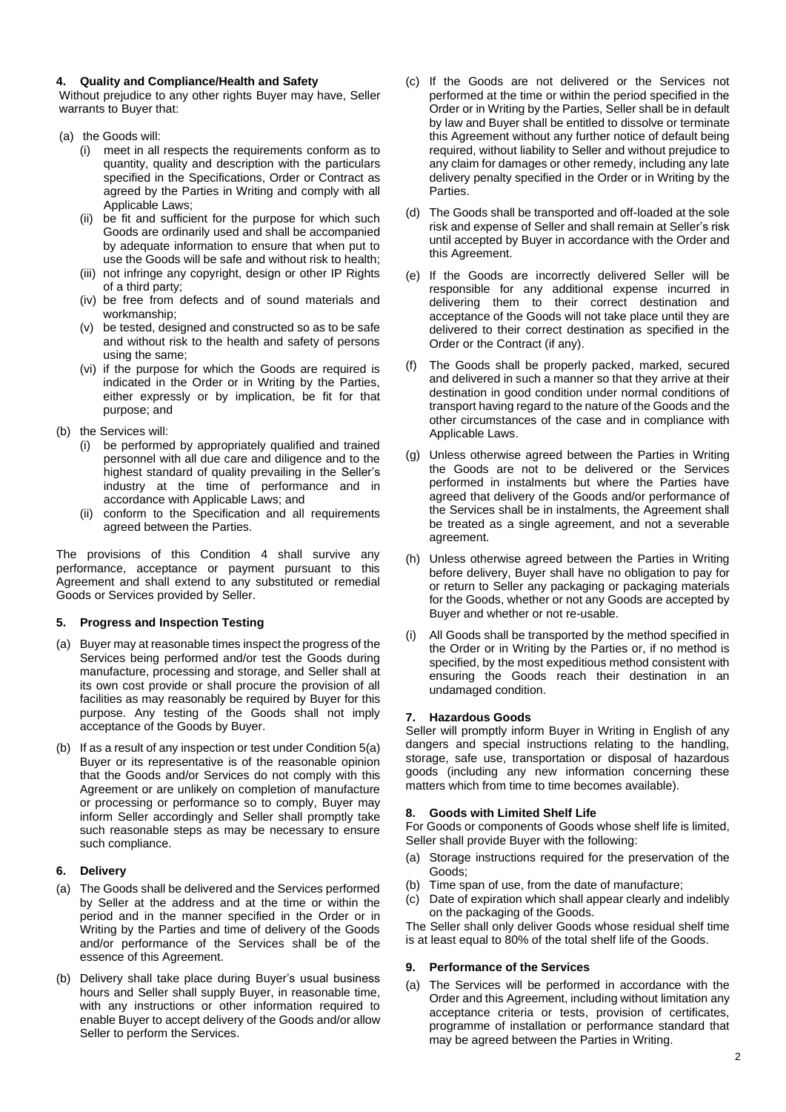### **4. Quality and Compliance/Health and Safety**

Without prejudice to any other rights Buyer may have, Seller warrants to Buyer that:

- (a) the Goods will:
	- (i) meet in all respects the requirements conform as to quantity, quality and description with the particulars specified in the Specifications, Order or Contract as agreed by the Parties in Writing and comply with all Applicable Laws;
	- (ii) be fit and sufficient for the purpose for which such Goods are ordinarily used and shall be accompanied by adequate information to ensure that when put to use the Goods will be safe and without risk to health;
	- (iii) not infringe any copyright, design or other IP Rights of a third party;
	- (iv) be free from defects and of sound materials and workmanship;
	- (v) be tested, designed and constructed so as to be safe and without risk to the health and safety of persons using the same;
	- (vi) if the purpose for which the Goods are required is indicated in the Order or in Writing by the Parties, either expressly or by implication, be fit for that purpose; and
- (b) the Services will:
	- (i) be performed by appropriately qualified and trained personnel with all due care and diligence and to the highest standard of quality prevailing in the Seller's industry at the time of performance and in accordance with Applicable Laws; and
	- (ii) conform to the Specification and all requirements agreed between the Parties.

The provisions of this Condition 4 shall survive any performance, acceptance or payment pursuant to this Agreement and shall extend to any substituted or remedial Goods or Services provided by Seller.

## **5. Progress and Inspection Testing**

- (a) Buyer may at reasonable times inspect the progress of the Services being performed and/or test the Goods during manufacture, processing and storage, and Seller shall at its own cost provide or shall procure the provision of all facilities as may reasonably be required by Buyer for this purpose. Any testing of the Goods shall not imply acceptance of the Goods by Buyer.
- (b) If as a result of any inspection or test under Condition 5(a) Buyer or its representative is of the reasonable opinion that the Goods and/or Services do not comply with this Agreement or are unlikely on completion of manufacture or processing or performance so to comply, Buyer may inform Seller accordingly and Seller shall promptly take such reasonable steps as may be necessary to ensure such compliance.

## **6. Delivery**

- (a) The Goods shall be delivered and the Services performed by Seller at the address and at the time or within the period and in the manner specified in the Order or in Writing by the Parties and time of delivery of the Goods and/or performance of the Services shall be of the essence of this Agreement.
- (b) Delivery shall take place during Buyer's usual business hours and Seller shall supply Buyer, in reasonable time, with any instructions or other information required to enable Buyer to accept delivery of the Goods and/or allow Seller to perform the Services.
- (c) If the Goods are not delivered or the Services not performed at the time or within the period specified in the Order or in Writing by the Parties, Seller shall be in default by law and Buyer shall be entitled to dissolve or terminate this Agreement without any further notice of default being required, without liability to Seller and without prejudice to any claim for damages or other remedy, including any late delivery penalty specified in the Order or in Writing by the Parties.
- (d) The Goods shall be transported and off-loaded at the sole risk and expense of Seller and shall remain at Seller's risk until accepted by Buyer in accordance with the Order and this Agreement.
- (e) If the Goods are incorrectly delivered Seller will be responsible for any additional expense incurred in delivering them to their correct destination and acceptance of the Goods will not take place until they are delivered to their correct destination as specified in the Order or the Contract (if any).
- (f) The Goods shall be properly packed, marked, secured and delivered in such a manner so that they arrive at their destination in good condition under normal conditions of transport having regard to the nature of the Goods and the other circumstances of the case and in compliance with Applicable Laws.
- (g) Unless otherwise agreed between the Parties in Writing the Goods are not to be delivered or the Services performed in instalments but where the Parties have agreed that delivery of the Goods and/or performance of the Services shall be in instalments, the Agreement shall be treated as a single agreement, and not a severable agreement.
- (h) Unless otherwise agreed between the Parties in Writing before delivery, Buyer shall have no obligation to pay for or return to Seller any packaging or packaging materials for the Goods, whether or not any Goods are accepted by Buyer and whether or not re-usable.
- (i) All Goods shall be transported by the method specified in the Order or in Writing by the Parties or, if no method is specified, by the most expeditious method consistent with ensuring the Goods reach their destination in an undamaged condition.

## **7. Hazardous Goods**

Seller will promptly inform Buyer in Writing in English of any dangers and special instructions relating to the handling, storage, safe use, transportation or disposal of hazardous goods (including any new information concerning these matters which from time to time becomes available).

## **8. Goods with Limited Shelf Life**

For Goods or components of Goods whose shelf life is limited, Seller shall provide Buyer with the following:

- (a) Storage instructions required for the preservation of the Goods;
- (b) Time span of use, from the date of manufacture;
- (c) Date of expiration which shall appear clearly and indelibly on the packaging of the Goods.

The Seller shall only deliver Goods whose residual shelf time is at least equal to 80% of the total shelf life of the Goods.

## **9. Performance of the Services**

(a) The Services will be performed in accordance with the Order and this Agreement, including without limitation any acceptance criteria or tests, provision of certificates, programme of installation or performance standard that may be agreed between the Parties in Writing.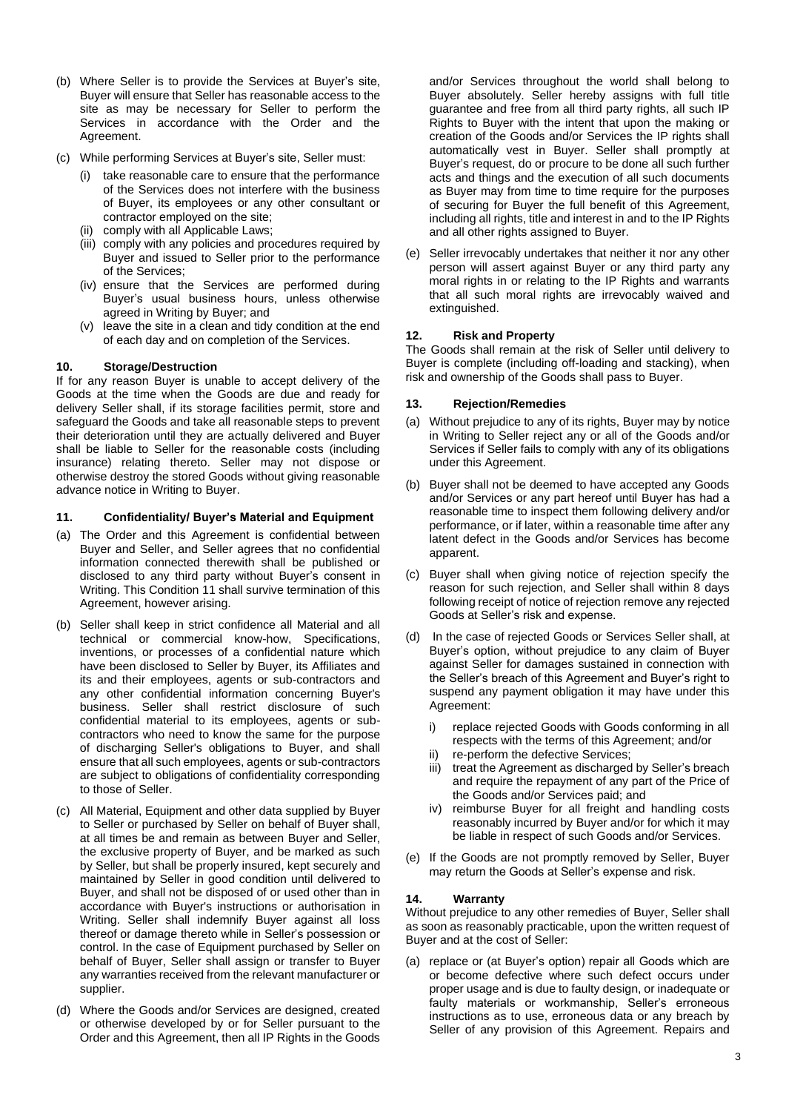- (b) Where Seller is to provide the Services at Buyer's site, Buyer will ensure that Seller has reasonable access to the site as may be necessary for Seller to perform the Services in accordance with the Order and the Agreement.
- (c) While performing Services at Buyer's site, Seller must:
	- (i) take reasonable care to ensure that the performance of the Services does not interfere with the business of Buyer, its employees or any other consultant or contractor employed on the site;
	- comply with all Applicable Laws;
	- (iii) comply with any policies and procedures required by Buyer and issued to Seller prior to the performance of the Services;
	- (iv) ensure that the Services are performed during Buyer's usual business hours, unless otherwise agreed in Writing by Buyer; and
	- (v) leave the site in a clean and tidy condition at the end of each day and on completion of the Services.

## **10. Storage/Destruction**

If for any reason Buyer is unable to accept delivery of the Goods at the time when the Goods are due and ready for delivery Seller shall, if its storage facilities permit, store and safeguard the Goods and take all reasonable steps to prevent their deterioration until they are actually delivered and Buyer shall be liable to Seller for the reasonable costs (including insurance) relating thereto. Seller may not dispose or otherwise destroy the stored Goods without giving reasonable advance notice in Writing to Buyer.

### **11. Confidentiality/ Buyer's Material and Equipment**

- (a) The Order and this Agreement is confidential between Buyer and Seller, and Seller agrees that no confidential information connected therewith shall be published or disclosed to any third party without Buyer's consent in Writing. This Condition 11 shall survive termination of this Agreement, however arising.
- (b) Seller shall keep in strict confidence all Material and all technical or commercial know-how, Specifications, inventions, or processes of a confidential nature which have been disclosed to Seller by Buyer, its Affiliates and its and their employees, agents or sub-contractors and any other confidential information concerning Buyer's business. Seller shall restrict disclosure of such confidential material to its employees, agents or subcontractors who need to know the same for the purpose of discharging Seller's obligations to Buyer, and shall ensure that all such employees, agents or sub-contractors are subject to obligations of confidentiality corresponding to those of Seller.
- (c) All Material, Equipment and other data supplied by Buyer to Seller or purchased by Seller on behalf of Buyer shall, at all times be and remain as between Buyer and Seller, the exclusive property of Buyer, and be marked as such by Seller, but shall be properly insured, kept securely and maintained by Seller in good condition until delivered to Buyer, and shall not be disposed of or used other than in accordance with Buyer's instructions or authorisation in Writing. Seller shall indemnify Buyer against all loss thereof or damage thereto while in Seller's possession or control. In the case of Equipment purchased by Seller on behalf of Buyer, Seller shall assign or transfer to Buyer any warranties received from the relevant manufacturer or supplier.
- (d) Where the Goods and/or Services are designed, created or otherwise developed by or for Seller pursuant to the Order and this Agreement, then all IP Rights in the Goods

and/or Services throughout the world shall belong to Buyer absolutely. Seller hereby assigns with full title guarantee and free from all third party rights, all such IP Rights to Buyer with the intent that upon the making or creation of the Goods and/or Services the IP rights shall automatically vest in Buyer. Seller shall promptly at Buyer's request, do or procure to be done all such further acts and things and the execution of all such documents as Buyer may from time to time require for the purposes of securing for Buyer the full benefit of this Agreement, including all rights, title and interest in and to the IP Rights and all other rights assigned to Buyer.

(e) Seller irrevocably undertakes that neither it nor any other person will assert against Buyer or any third party any moral rights in or relating to the IP Rights and warrants that all such moral rights are irrevocably waived and extinguished.

### **12. Risk and Property**

The Goods shall remain at the risk of Seller until delivery to Buyer is complete (including off-loading and stacking), when risk and ownership of the Goods shall pass to Buyer.

### **13. Rejection/Remedies**

- (a) Without prejudice to any of its rights, Buyer may by notice in Writing to Seller reject any or all of the Goods and/or Services if Seller fails to comply with any of its obligations under this Agreement.
- (b) Buyer shall not be deemed to have accepted any Goods and/or Services or any part hereof until Buyer has had a reasonable time to inspect them following delivery and/or performance, or if later, within a reasonable time after any latent defect in the Goods and/or Services has become apparent.
- (c) Buyer shall when giving notice of rejection specify the reason for such rejection, and Seller shall within 8 days following receipt of notice of rejection remove any rejected Goods at Seller's risk and expense.
- (d) In the case of rejected Goods or Services Seller shall, at Buyer's option, without prejudice to any claim of Buyer against Seller for damages sustained in connection with the Seller's breach of this Agreement and Buyer's right to suspend any payment obligation it may have under this Agreement:
	- i) replace rejected Goods with Goods conforming in all respects with the terms of this Agreement; and/or
	- ii) re-perform the defective Services;
	- iii) treat the Agreement as discharged by Seller's breach and require the repayment of any part of the Price of the Goods and/or Services paid; and
	- iv) reimburse Buyer for all freight and handling costs reasonably incurred by Buyer and/or for which it may be liable in respect of such Goods and/or Services.
- (e) If the Goods are not promptly removed by Seller, Buyer may return the Goods at Seller's expense and risk.

#### **14. Warranty**

Without prejudice to any other remedies of Buyer, Seller shall as soon as reasonably practicable, upon the written request of Buyer and at the cost of Seller:

(a) replace or (at Buyer's option) repair all Goods which are or become defective where such defect occurs under proper usage and is due to faulty design, or inadequate or faulty materials or workmanship, Seller's erroneous instructions as to use, erroneous data or any breach by Seller of any provision of this Agreement. Repairs and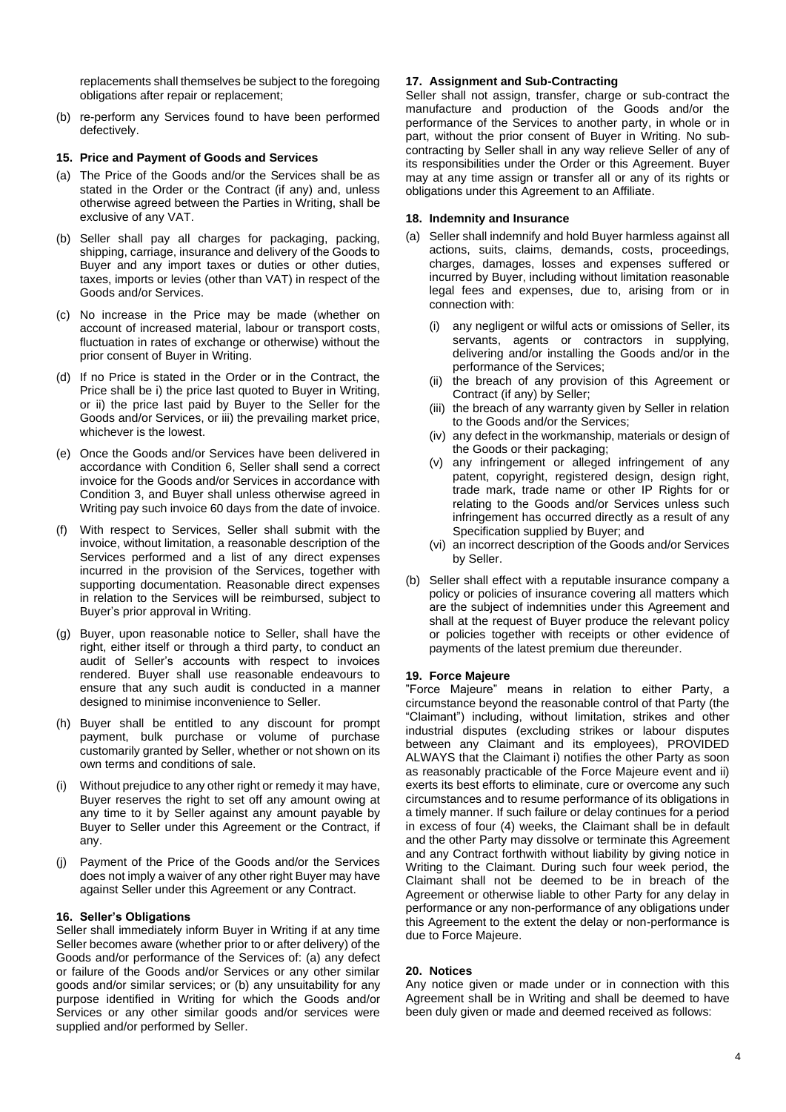replacements shall themselves be subject to the foregoing obligations after repair or replacement;

(b) re-perform any Services found to have been performed defectively.

### **15. Price and Payment of Goods and Services**

- (a) The Price of the Goods and/or the Services shall be as stated in the Order or the Contract (if any) and, unless otherwise agreed between the Parties in Writing, shall be exclusive of any VAT.
- (b) Seller shall pay all charges for packaging, packing, shipping, carriage, insurance and delivery of the Goods to Buyer and any import taxes or duties or other duties, taxes, imports or levies (other than VAT) in respect of the Goods and/or Services.
- (c) No increase in the Price may be made (whether on account of increased material, labour or transport costs, fluctuation in rates of exchange or otherwise) without the prior consent of Buyer in Writing.
- (d) If no Price is stated in the Order or in the Contract, the Price shall be i) the price last quoted to Buyer in Writing, or ii) the price last paid by Buyer to the Seller for the Goods and/or Services, or iii) the prevailing market price, whichever is the lowest.
- (e) Once the Goods and/or Services have been delivered in accordance with Condition 6, Seller shall send a correct invoice for the Goods and/or Services in accordance with Condition 3, and Buyer shall unless otherwise agreed in Writing pay such invoice 60 days from the date of invoice.
- With respect to Services, Seller shall submit with the invoice, without limitation, a reasonable description of the Services performed and a list of any direct expenses incurred in the provision of the Services, together with supporting documentation. Reasonable direct expenses in relation to the Services will be reimbursed, subject to Buyer's prior approval in Writing.
- (g) Buyer, upon reasonable notice to Seller, shall have the right, either itself or through a third party, to conduct an audit of Seller's accounts with respect to invoices rendered. Buyer shall use reasonable endeavours to ensure that any such audit is conducted in a manner designed to minimise inconvenience to Seller.
- (h) Buyer shall be entitled to any discount for prompt payment, bulk purchase or volume of purchase customarily granted by Seller, whether or not shown on its own terms and conditions of sale.
- (i) Without prejudice to any other right or remedy it may have, Buyer reserves the right to set off any amount owing at any time to it by Seller against any amount payable by Buyer to Seller under this Agreement or the Contract, if any.
- (j) Payment of the Price of the Goods and/or the Services does not imply a waiver of any other right Buyer may have against Seller under this Agreement or any Contract.

### **16. Seller's Obligations**

Seller shall immediately inform Buyer in Writing if at any time Seller becomes aware (whether prior to or after delivery) of the Goods and/or performance of the Services of: (a) any defect or failure of the Goods and/or Services or any other similar goods and/or similar services; or (b) any unsuitability for any purpose identified in Writing for which the Goods and/or Services or any other similar goods and/or services were supplied and/or performed by Seller.

#### **17. Assignment and Sub-Contracting**

Seller shall not assign, transfer, charge or sub-contract the manufacture and production of the Goods and/or the performance of the Services to another party, in whole or in part, without the prior consent of Buyer in Writing. No subcontracting by Seller shall in any way relieve Seller of any of its responsibilities under the Order or this Agreement. Buyer may at any time assign or transfer all or any of its rights or obligations under this Agreement to an Affiliate.

#### **18. Indemnity and Insurance**

- (a) Seller shall indemnify and hold Buyer harmless against all actions, suits, claims, demands, costs, proceedings, charges, damages, losses and expenses suffered or incurred by Buyer, including without limitation reasonable legal fees and expenses, due to, arising from or in connection with:
	- (i) any negligent or wilful acts or omissions of Seller, its servants, agents or contractors in supplying, delivering and/or installing the Goods and/or in the performance of the Services;
	- (ii) the breach of any provision of this Agreement or Contract (if any) by Seller;
	- (iii) the breach of any warranty given by Seller in relation to the Goods and/or the Services;
	- (iv) any defect in the workmanship, materials or design of the Goods or their packaging;
	- (v) any infringement or alleged infringement of any patent, copyright, registered design, design right, trade mark, trade name or other IP Rights for or relating to the Goods and/or Services unless such infringement has occurred directly as a result of any Specification supplied by Buyer; and
	- (vi) an incorrect description of the Goods and/or Services by Seller.
- (b) Seller shall effect with a reputable insurance company a policy or policies of insurance covering all matters which are the subject of indemnities under this Agreement and shall at the request of Buyer produce the relevant policy or policies together with receipts or other evidence of payments of the latest premium due thereunder.

#### **19. Force Majeure**

"Force Majeure" means in relation to either Party, a circumstance beyond the reasonable control of that Party (the "Claimant") including, without limitation, strikes and other industrial disputes (excluding strikes or labour disputes between any Claimant and its employees), PROVIDED ALWAYS that the Claimant i) notifies the other Party as soon as reasonably practicable of the Force Majeure event and ii) exerts its best efforts to eliminate, cure or overcome any such circumstances and to resume performance of its obligations in a timely manner. If such failure or delay continues for a period in excess of four (4) weeks, the Claimant shall be in default and the other Party may dissolve or terminate this Agreement and any Contract forthwith without liability by giving notice in Writing to the Claimant. During such four week period, the Claimant shall not be deemed to be in breach of the Agreement or otherwise liable to other Party for any delay in performance or any non-performance of any obligations under this Agreement to the extent the delay or non-performance is due to Force Majeure.

#### **20. Notices**

Any notice given or made under or in connection with this Agreement shall be in Writing and shall be deemed to have been duly given or made and deemed received as follows: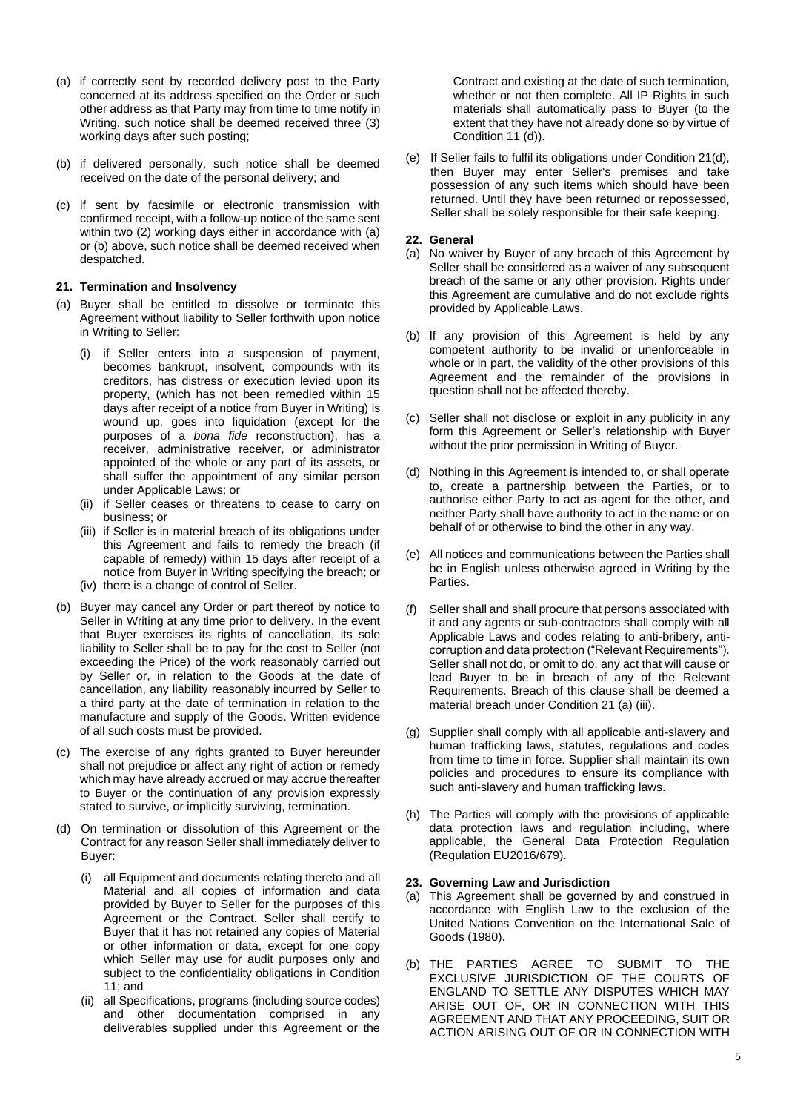- (a) if correctly sent by recorded delivery post to the Party concerned at its address specified on the Order or such other address as that Party may from time to time notify in Writing, such notice shall be deemed received three (3) working days after such posting;
- (b) if delivered personally, such notice shall be deemed received on the date of the personal delivery; and
- (c) if sent by facsimile or electronic transmission with confirmed receipt, with a follow-up notice of the same sent within two (2) working days either in accordance with (a) or (b) above, such notice shall be deemed received when despatched.

#### **21. Termination and Insolvency**

- (a) Buyer shall be entitled to dissolve or terminate this Agreement without liability to Seller forthwith upon notice in Writing to Seller:
	- (i) if Seller enters into a suspension of payment, becomes bankrupt, insolvent, compounds with its creditors, has distress or execution levied upon its property, (which has not been remedied within 15 days after receipt of a notice from Buyer in Writing) is wound up, goes into liquidation (except for the purposes of a *bona fide* reconstruction), has a receiver, administrative receiver, or administrator appointed of the whole or any part of its assets, or shall suffer the appointment of any similar person under Applicable Laws; or
	- (ii) if Seller ceases or threatens to cease to carry on business; or
	- (iii) if Seller is in material breach of its obligations under this Agreement and fails to remedy the breach (if capable of remedy) within 15 days after receipt of a notice from Buyer in Writing specifying the breach; or
	- (iv) there is a change of control of Seller.
- (b) Buyer may cancel any Order or part thereof by notice to Seller in Writing at any time prior to delivery. In the event that Buyer exercises its rights of cancellation, its sole liability to Seller shall be to pay for the cost to Seller (not exceeding the Price) of the work reasonably carried out by Seller or, in relation to the Goods at the date of cancellation, any liability reasonably incurred by Seller to a third party at the date of termination in relation to the manufacture and supply of the Goods. Written evidence of all such costs must be provided.
- (c) The exercise of any rights granted to Buyer hereunder shall not prejudice or affect any right of action or remedy which may have already accrued or may accrue thereafter to Buyer or the continuation of any provision expressly stated to survive, or implicitly surviving, termination.
- (d) On termination or dissolution of this Agreement or the Contract for any reason Seller shall immediately deliver to Buyer:
	- (i) all Equipment and documents relating thereto and all Material and all copies of information and data provided by Buyer to Seller for the purposes of this Agreement or the Contract. Seller shall certify to Buyer that it has not retained any copies of Material or other information or data, except for one copy which Seller may use for audit purposes only and subject to the confidentiality obligations in Condition 11; and
	- (ii) all Specifications, programs (including source codes) and other documentation comprised in any deliverables supplied under this Agreement or the

Contract and existing at the date of such termination, whether or not then complete. All IP Rights in such materials shall automatically pass to Buyer (to the extent that they have not already done so by virtue of Condition 11 (d)).

(e) If Seller fails to fulfil its obligations under Condition 21(d), then Buyer may enter Seller's premises and take possession of any such items which should have been returned. Until they have been returned or repossessed, Seller shall be solely responsible for their safe keeping.

#### **22. General**

- (a) No waiver by Buyer of any breach of this Agreement by Seller shall be considered as a waiver of any subsequent breach of the same or any other provision. Rights under this Agreement are cumulative and do not exclude rights provided by Applicable Laws.
- (b) If any provision of this Agreement is held by any competent authority to be invalid or unenforceable in whole or in part, the validity of the other provisions of this Agreement and the remainder of the provisions in question shall not be affected thereby.
- (c) Seller shall not disclose or exploit in any publicity in any form this Agreement or Seller's relationship with Buyer without the prior permission in Writing of Buyer.
- (d) Nothing in this Agreement is intended to, or shall operate to, create a partnership between the Parties, or to authorise either Party to act as agent for the other, and neither Party shall have authority to act in the name or on behalf of or otherwise to bind the other in any way.
- (e) All notices and communications between the Parties shall be in English unless otherwise agreed in Writing by the Parties.
- (f) Seller shall and shall procure that persons associated with it and any agents or sub-contractors shall comply with all Applicable Laws and codes relating to anti-bribery, anticorruption and data protection ("Relevant Requirements"). Seller shall not do, or omit to do, any act that will cause or lead Buyer to be in breach of any of the Relevant Requirements. Breach of this clause shall be deemed a material breach under Condition 21 (a) (iii).
- (g) Supplier shall comply with all applicable anti-slavery and human trafficking laws, statutes, regulations and codes from time to time in force. Supplier shall maintain its own policies and procedures to ensure its compliance with such anti-slavery and human trafficking laws.
- (h) The Parties will comply with the provisions of applicable data protection laws and regulation including, where applicable, the General Data Protection Regulation (Regulation EU2016/679).

### **23. Governing Law and Jurisdiction**

- (a) This Agreement shall be governed by and construed in accordance with English Law to the exclusion of the United Nations Convention on the International Sale of Goods (1980).
- (b) THE PARTIES AGREE TO SUBMIT TO THE EXCLUSIVE JURISDICTION OF THE COURTS OF ENGLAND TO SETTLE ANY DISPUTES WHICH MAY ARISE OUT OF, OR IN CONNECTION WITH THIS AGREEMENT AND THAT ANY PROCEEDING, SUIT OR ACTION ARISING OUT OF OR IN CONNECTION WITH